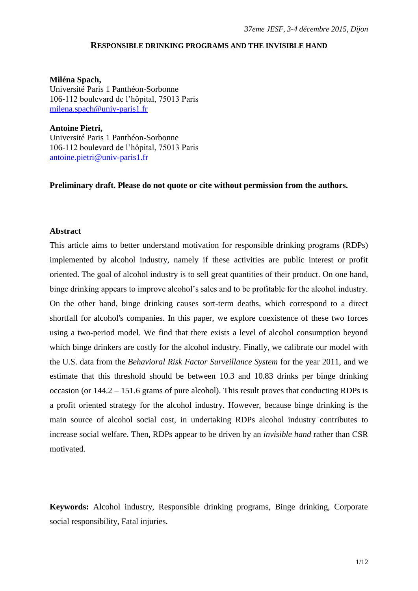### **RESPONSIBLE DRINKING PROGRAMS AND THE INVISIBLE HAND**

**Miléna Spach,** Université Paris 1 Panthéon-Sorbonne 106-112 boulevard de l"hôpital, 75013 Paris [milena.spach@univ-paris1.fr](mailto:milena.spach@univ-paris1.fr)

**Antoine Pietri,** Université Paris 1 Panthéon-Sorbonne 106-112 boulevard de l"hôpital, 75013 Paris [antoine.pietri@univ-paris1.fr](mailto:antoine.pietri@univ-paris1.fr)

**Preliminary draft. Please do not quote or cite without permission from the authors.** 

### **Abstract**

This article aims to better understand motivation for responsible drinking programs (RDPs) implemented by alcohol industry, namely if these activities are public interest or profit oriented. The goal of alcohol industry is to sell great quantities of their product. On one hand, binge drinking appears to improve alcohol"s sales and to be profitable for the alcohol industry. On the other hand, binge drinking causes sort-term deaths, which correspond to a direct shortfall for alcohol's companies. In this paper, we explore coexistence of these two forces using a two-period model. We find that there exists a level of alcohol consumption beyond which binge drinkers are costly for the alcohol industry. Finally, we calibrate our model with the U.S. data from the *Behavioral Risk Factor Surveillance System* for the year 2011, and we estimate that this threshold should be between 10.3 and 10.83 drinks per binge drinking occasion (or 144.2 – 151.6 grams of pure alcohol). This result proves that conducting RDPs is a profit oriented strategy for the alcohol industry. However, because binge drinking is the main source of alcohol social cost, in undertaking RDPs alcohol industry contributes to increase social welfare. Then, RDPs appear to be driven by an *invisible hand* rather than CSR motivated.

**Keywords:** Alcohol industry, Responsible drinking programs, Binge drinking, Corporate social responsibility, Fatal injuries.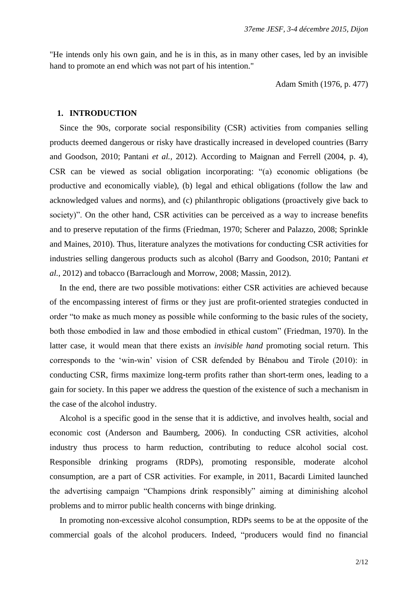"He intends only his own gain, and he is in this, as in many other cases, led by an invisible hand to promote an end which was not part of his intention."

Adam Smith (1976, p. 477)

### **1. INTRODUCTION**

Since the 90s, corporate social responsibility (CSR) activities from companies selling products deemed dangerous or risky have drastically increased in developed countries (Barry and Goodson, 2010; Pantani *et al.,* 2012). According to Maignan and Ferrell (2004, p. 4), CSR can be viewed as social obligation incorporating: "(a) economic obligations (be productive and economically viable), (b) legal and ethical obligations (follow the law and acknowledged values and norms), and (c) philanthropic obligations (proactively give back to society)". On the other hand, CSR activities can be perceived as a way to increase benefits and to preserve reputation of the firms (Friedman, 1970; Scherer and Palazzo, 2008; Sprinkle and Maines, 2010). Thus, literature analyzes the motivations for conducting CSR activities for industries selling dangerous products such as alcohol (Barry and Goodson, 2010; Pantani *et al.,* 2012) and tobacco (Barraclough and Morrow, 2008; Massin, 2012).

In the end, there are two possible motivations: either CSR activities are achieved because of the encompassing interest of firms or they just are profit-oriented strategies conducted in order "to make as much money as possible while conforming to the basic rules of the society, both those embodied in law and those embodied in ethical custom" (Friedman, 1970). In the latter case, it would mean that there exists an *invisible hand* promoting social return. This corresponds to the "win-win" vision of CSR defended by Bénabou and Tirole (2010): in conducting CSR, firms maximize long-term profits rather than short-term ones, leading to a gain for society. In this paper we address the question of the existence of such a mechanism in the case of the alcohol industry.

Alcohol is a specific good in the sense that it is addictive, and involves health, social and economic cost (Anderson and Baumberg, 2006). In conducting CSR activities, alcohol industry thus process to harm reduction, contributing to reduce alcohol social cost. Responsible drinking programs (RDPs), promoting responsible, moderate alcohol consumption, are a part of CSR activities. For example, in 2011, Bacardi Limited launched the advertising campaign "Champions drink responsibly" aiming at diminishing alcohol problems and to mirror public health concerns with binge drinking.

In promoting non-excessive alcohol consumption, RDPs seems to be at the opposite of the commercial goals of the alcohol producers. Indeed, "producers would find no financial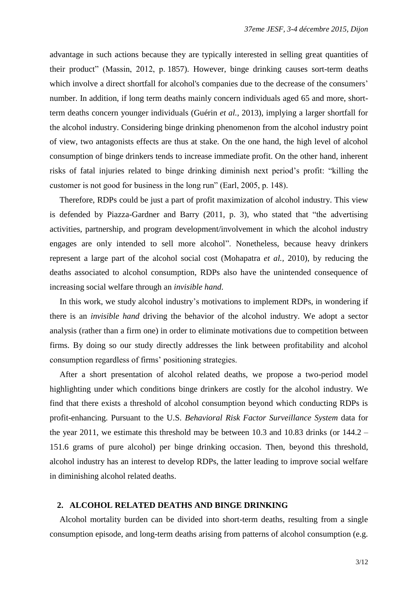advantage in such actions because they are typically interested in selling great quantities of their product" (Massin, 2012, p. 1857). However, binge drinking causes sort-term deaths which involve a direct shortfall for alcohol's companies due to the decrease of the consumers' number. In addition, if long term deaths mainly concern individuals aged 65 and more, shortterm deaths concern younger individuals (Guérin *et al.,* 2013), implying a larger shortfall for the alcohol industry. Considering binge drinking phenomenon from the alcohol industry point of view, two antagonists effects are thus at stake. On the one hand, the high level of alcohol consumption of binge drinkers tends to increase immediate profit. On the other hand, inherent risks of fatal injuries related to binge drinking diminish next period"s profit: "killing the customer is not good for business in the long run" (Earl, 2005, p. 148).

Therefore, RDPs could be just a part of profit maximization of alcohol industry. This view is defended by Piazza-Gardner and Barry (2011, p. 3), who stated that "the advertising activities, partnership, and program development/involvement in which the alcohol industry engages are only intended to sell more alcohol". Nonetheless, because heavy drinkers represent a large part of the alcohol social cost (Mohapatra *et al.,* 2010), by reducing the deaths associated to alcohol consumption, RDPs also have the unintended consequence of increasing social welfare through an *invisible hand*.

In this work, we study alcohol industry's motivations to implement RDPs, in wondering if there is an *invisible hand* driving the behavior of the alcohol industry. We adopt a sector analysis (rather than a firm one) in order to eliminate motivations due to competition between firms. By doing so our study directly addresses the link between profitability and alcohol consumption regardless of firms" positioning strategies.

After a short presentation of alcohol related deaths, we propose a two-period model highlighting under which conditions binge drinkers are costly for the alcohol industry. We find that there exists a threshold of alcohol consumption beyond which conducting RDPs is profit-enhancing. Pursuant to the U.S. *Behavioral Risk Factor Surveillance System* data for the year 2011, we estimate this threshold may be between 10.3 and 10.83 drinks (or 144.2 – 151.6 grams of pure alcohol) per binge drinking occasion. Then, beyond this threshold, alcohol industry has an interest to develop RDPs, the latter leading to improve social welfare in diminishing alcohol related deaths.

### **2. ALCOHOL RELATED DEATHS AND BINGE DRINKING**

Alcohol mortality burden can be divided into short-term deaths, resulting from a single consumption episode, and long-term deaths arising from patterns of alcohol consumption (e.g.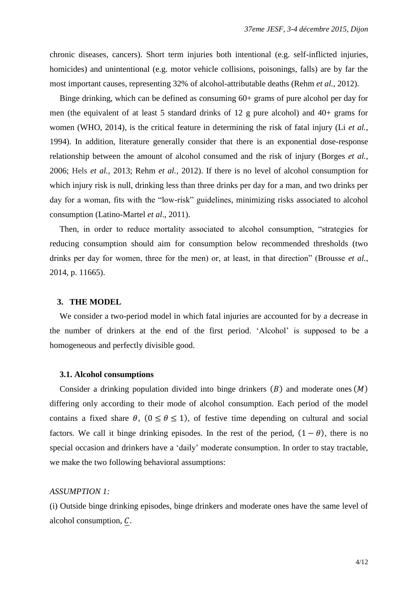chronic diseases, cancers). Short term injuries both intentional (e.g. self-inflicted injuries, homicides) and unintentional (e.g. motor vehicle collisions, poisonings, falls) are by far the most important causes, representing 32% of alcohol-attributable deaths (Rehm *et al.,* 2012).

Binge drinking, which can be defined as consuming 60+ grams of pure alcohol per day for men (the equivalent of at least 5 standard drinks of 12 g pure alcohol) and 40+ grams for women (WHO, 2014), is the critical feature in determining the risk of fatal injury (Li *et al.,* 1994). In addition, literature generally consider that there is an exponential dose-response relationship between the amount of alcohol consumed and the risk of injury (Borges *et al.,* 2006; Hels *et al.,* 2013; Rehm *et al.,* 2012). If there is no level of alcohol consumption for which injury risk is null, drinking less than three drinks per day for a man, and two drinks per day for a woman, fits with the "low-risk" guidelines, minimizing risks associated to alcohol consumption (Latino-Martel *et al*., 2011).

Then, in order to reduce mortality associated to alcohol consumption, "strategies for reducing consumption should aim for consumption below recommended thresholds (two drinks per day for women, three for the men) or, at least, in that direction" (Brousse *et al.,* 2014, p. 11665).

#### **3. THE MODEL**

We consider a two-period model in which fatal injuries are accounted for by a decrease in the number of drinkers at the end of the first period. "Alcohol" is supposed to be a homogeneous and perfectly divisible good.

#### **3.1. Alcohol consumptions**

Consider a drinking population divided into binge drinkers  $(B)$  and moderate ones  $(M)$ differing only according to their mode of alcohol consumption. Each period of the model contains a fixed share  $\theta$ ,  $(0 \le \theta \le 1)$ , of festive time depending on cultural and social factors. We call it binge drinking episodes. In the rest of the period,  $(1 - \theta)$ , there is no special occasion and drinkers have a "daily" moderate consumption. In order to stay tractable, we make the two following behavioral assumptions:

#### *ASSUMPTION 1:*

(i) Outside binge drinking episodes, binge drinkers and moderate ones have the same level of alcohol consumption,  $C$ .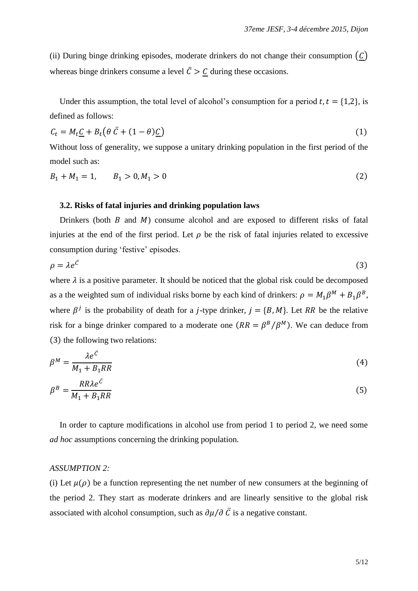(ii) During binge drinking episodes, moderate drinkers do not change their consumption  $(C)$ whereas binge drinkers consume a level  $\bar{C} > \underline{C}$  during these occasions.

Under this assumption, the total level of alcohol's consumption for a period  $t, t = \{1,2\}$ , is defined as follows:

$$
C_t = M_t \underline{C} + B_t \left( \theta \, \overline{C} + (1 - \theta) \underline{C} \right) \tag{1}
$$

Without loss of generality, we suppose a unitary drinking population in the first period of the model such as:

$$
B_1 + M_1 = 1, \qquad B_1 > 0, M_1 > 0 \tag{2}
$$

# **3.2. Risks of fatal injuries and drinking population laws**

Drinkers (both  $\hat{B}$  and  $\hat{M}$ ) consume alcohol and are exposed to different risks of fatal injuries at the end of the first period. Let  $\rho$  be the risk of fatal injuries related to excessive consumption during "festive" episodes.

$$
\rho = \lambda e^{\bar{c}} \tag{3}
$$

where  $\lambda$  is a positive parameter. It should be noticed that the global risk could be decomposed as a the weighted sum of individual risks borne by each kind of drinkers:  $\rho = M_1 \beta^M + B_1 \beta^B$ , where  $\beta^{j}$  is the probability of death for a *j*-type drinker,  $j = \{B, M\}$ . Let RR be the relative risk for a binge drinker compared to a moderate one  $(RR = \beta^B/\beta^M)$ . We can deduce from  $(3)$  the following two relations:

$$
\beta^M = \frac{\lambda e^{\bar{C}}}{M_1 + B_1 R R} \tag{4}
$$

$$
\beta^B = \frac{RR\lambda e^{\bar{C}}}{M_1 + B_1RR} \tag{5}
$$

In order to capture modifications in alcohol use from period 1 to period 2, we need some *ad hoc* assumptions concerning the drinking population.

# *ASSUMPTION 2:*

(i) Let  $\mu(\rho)$  be a function representing the net number of new consumers at the beginning of the period 2. They start as moderate drinkers and are linearly sensitive to the global risk associated with alcohol consumption, such as  $\partial u/\partial \bar{C}$  is a negative constant.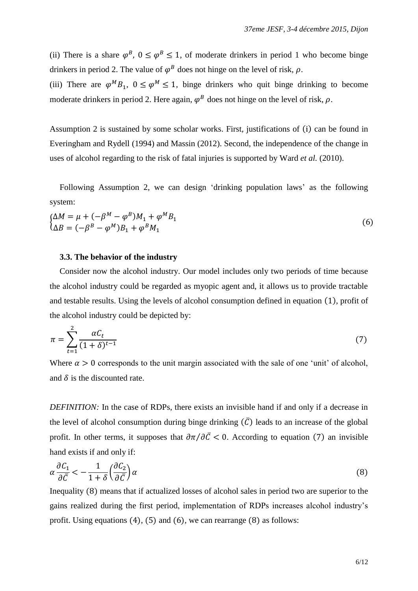(ii) There is a share  $\varphi^B$ ,  $0 \le \varphi^B \le 1$ , of moderate drinkers in period 1 who become binge drinkers in period 2. The value of  $\varphi^B$  does not hinge on the level of risk,  $\rho$ .

(iii) There are  $\varphi^M B_1$ ,  $0 \le \varphi^M \le 1$ , binge drinkers who quit binge drinking to become moderate drinkers in period 2. Here again,  $\varphi^B$  does not hinge on the level of risk,  $\rho$ .

Assumption 2 is sustained by some scholar works. First, justifications of (i) can be found in Everingham and Rydell (1994) and Massin (2012). Second, the independence of the change in uses of alcohol regarding to the risk of fatal injuries is supported by Ward *et al.* (2010).

Following Assumption 2, we can design 'drinking population laws' as the following system:

$$
\begin{cases} \Delta M = \mu + (-\beta^M - \varphi^B)M_1 + \varphi^M B_1 \\ \Delta B = (-\beta^B - \varphi^M)B_1 + \varphi^B M_1 \end{cases}
$$
 (6)

# **3.3. The behavior of the industry**

Consider now the alcohol industry. Our model includes only two periods of time because the alcohol industry could be regarded as myopic agent and, it allows us to provide tractable and testable results. Using the levels of alcohol consumption defined in equation (1), profit of the alcohol industry could be depicted by:

$$
\pi = \sum_{t=1}^{2} \frac{\alpha C_t}{(1+\delta)^{t-1}}\tag{7}
$$

Where  $\alpha > 0$  corresponds to the unit margin associated with the sale of one 'unit' of alcohol, and  $\delta$  is the discounted rate.

*DEFINITION:* In the case of RDPs, there exists an invisible hand if and only if a decrease in the level of alcohol consumption during binge drinking  $(\bar{C})$  leads to an increase of the global profit. In other terms, it supposes that  $\partial \pi / \partial \bar{C} < 0$ . According to equation (7) an invisible hand exists if and only if:

$$
\alpha \frac{\partial C_1}{\partial \bar{C}} < -\frac{1}{1+\delta} \left( \frac{\partial C_2}{\partial \bar{C}} \right) \alpha \tag{8}
$$

Inequality (8) means that if actualized losses of alcohol sales in period two are superior to the gains realized during the first period, implementation of RDPs increases alcohol industry"s profit. Using equations  $(4)$ ,  $(5)$  and  $(6)$ , we can rearrange  $(8)$  as follows: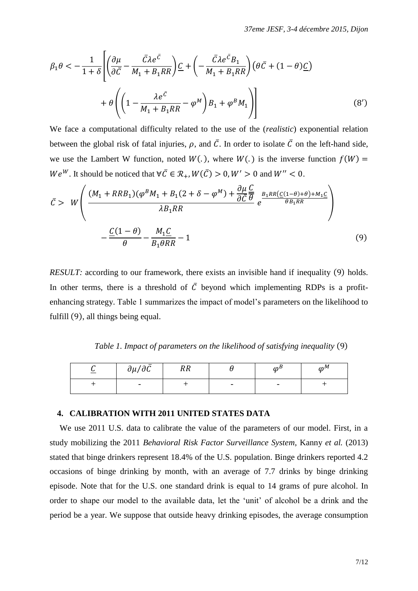$$
\beta_1 \theta < -\frac{1}{1+\delta} \left[ \left( \frac{\partial \mu}{\partial \bar{C}} - \frac{\bar{C} \lambda e^{\bar{C}}}{M_1 + B_1 RR} \right) \underline{C} + \left( -\frac{\bar{C} \lambda e^{\bar{C}} B_1}{M_1 + B_1 RR} \right) \left( \theta \bar{C} + (1-\theta) \underline{C} \right) \right]
$$
\n
$$
+ \theta \left( \left( 1 - \frac{\lambda e^{\bar{C}}}{M_1 + B_1 RR} - \varphi^M \right) B_1 + \varphi^B M_1 \right) \right] \tag{8'}
$$

We face a computational difficulty related to the use of the (*realistic*) exponential relation between the global risk of fatal injuries,  $\rho$ , and  $\overline{C}$ . In order to isolate  $\overline{C}$  on the left-hand side, we use the Lambert W function, noted  $W(.)$ , where  $W(.)$  is the inverse function  $f(W) =$  $We^{W}$ . It should be noticed that  $\forall \bar{C} \in \mathcal{R}_{+}, W(\bar{C}) > 0, W' > 0$  and  $W'' < 0$ .

$$
\bar{C} > W \left( \frac{(M_1 + RRB_1)(\varphi^BM_1 + B_1(2 + \delta - \varphi^M) + \frac{\partial \mu}{\partial \bar{C}} \frac{C}{\theta}}{\lambda B_1 RR} e^{\frac{B_1 RR (C(1-\theta)+\theta) + M_1 C}{\theta B_1 RR}} \right) - \frac{\underline{C}(1-\theta)}{\theta} - \frac{M_1 \underline{C}}{B_1 \theta RR} - 1
$$
\n(9)

*RESULT:* according to our framework, there exists an invisible hand if inequality (9) holds. In other terms, there is a threshold of  $\overline{C}$  beyond which implementing RDPs is a profitenhancing strategy. Table 1 summarizes the impact of model"s parameters on the likelihood to fulfill  $(9)$ , all things being equal.

*Table 1. Impact of parameters on the likelihood of satisfying inequality* (9)

| $\partial \mu / \partial \bar{C}$ | ∽<br><b>RR</b> |                          | $\sqrt{2}$               | $\Lambda$ |
|-----------------------------------|----------------|--------------------------|--------------------------|-----------|
|                                   |                | $\overline{\phantom{0}}$ | $\overline{\phantom{0}}$ |           |

# **4. CALIBRATION WITH 2011 UNITED STATES DATA**

We use 2011 U.S. data to calibrate the value of the parameters of our model. First, in a study mobilizing the 2011 *Behavioral Risk Factor Surveillance System*, Kanny *et al.* (2013) stated that binge drinkers represent 18.4% of the U.S. population. Binge drinkers reported 4.2 occasions of binge drinking by month, with an average of 7.7 drinks by binge drinking episode. Note that for the U.S. one standard drink is equal to 14 grams of pure alcohol. In order to shape our model to the available data, let the "unit" of alcohol be a drink and the period be a year. We suppose that outside heavy drinking episodes, the average consumption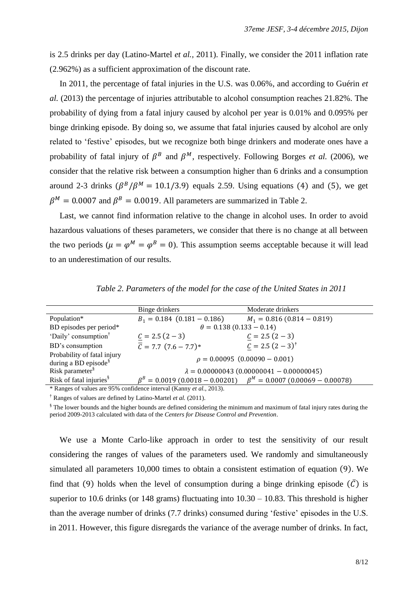is 2.5 drinks per day (Latino-Martel *et al.,* 2011). Finally, we consider the 2011 inflation rate (2.962%) as a sufficient approximation of the discount rate.

In 2011, the percentage of fatal injuries in the U.S. was 0.06%, and according to Guérin *et al.* (2013) the percentage of injuries attributable to alcohol consumption reaches 21.82%. The probability of dying from a fatal injury caused by alcohol per year is 0.01% and 0.095% per binge drinking episode. By doing so, we assume that fatal injuries caused by alcohol are only related to "festive" episodes, but we recognize both binge drinkers and moderate ones have a probability of fatal injury of  $\beta^B$  and  $\beta^M$ , respectively. Following Borges *et al.* (2006), we consider that the relative risk between a consumption higher than 6 drinks and a consumption around 2-3 drinks  $(\beta^B/\beta^M = 10.1/3.9)$  equals 2.59. Using equations (4) and (5), we get  $\beta^M = 0.0007$  and  $\beta^B = 0.0019$ . All parameters are summarized in Table 2.

Last, we cannot find information relative to the change in alcohol uses. In order to avoid hazardous valuations of theses parameters, we consider that there is no change at all between the two periods ( $\mu = \varphi^M = \varphi^B = 0$ ). This assumption seems acceptable because it will lead to an underestimation of our results.

|                                                                              | Binge drinkers                                  | Moderate drinkers                                                            |  |  |  |
|------------------------------------------------------------------------------|-------------------------------------------------|------------------------------------------------------------------------------|--|--|--|
| Population*                                                                  | $B_1 = 0.184$ (0.181 - 0.186)                   | $M_1 = 0.816 (0.814 - 0.819)$                                                |  |  |  |
| BD episodes per period*                                                      | $\theta = 0.138(0.133 - 0.14)$                  |                                                                              |  |  |  |
| 'Daily' consumption <sup>†</sup>                                             | $C = 2.5(2 - 3)$                                | $C = 2.5(2 - 3)$                                                             |  |  |  |
| BD's consumption                                                             | $\overline{C}$ = 7.7 $(7.6 - 7.7)^*$            | $C = 2.5 (2 - 3)^{\dagger}$                                                  |  |  |  |
| Probability of fatal injury<br>during a BD episode <sup>§</sup>              | $\rho = 0.00095$ (0.00090 - 0.001)              |                                                                              |  |  |  |
| Risk parameter <sup>§</sup>                                                  | $\lambda = 0.00000043(0.00000041 - 0.00000045)$ |                                                                              |  |  |  |
| Risk of fatal injuries <sup>§</sup>                                          |                                                 | $\beta^B = 0.0019 (0.0018 - 0.00201)$ $\beta^M = 0.0007 (0.00069 - 0.00078)$ |  |  |  |
| * Ranges of values are 95% confidence interval (Kanny <i>et al.</i> , 2013). |                                                 |                                                                              |  |  |  |

*Table 2. Parameters of the model for the case of the United States in 2011*

† Ranges of values are defined by Latino-Martel *et al.* (2011).

§ The lower bounds and the higher bounds are defined considering the minimum and maximum of fatal injury rates during the period 2009-2013 calculated with data of the *Centers for Disease Control and Prevention*.

We use a Monte Carlo-like approach in order to test the sensitivity of our result considering the ranges of values of the parameters used. We randomly and simultaneously simulated all parameters 10,000 times to obtain a consistent estimation of equation (9). We find that (9) holds when the level of consumption during a binge drinking episode  $(\bar{C})$  is superior to 10.6 drinks (or 148 grams) fluctuating into  $10.30 - 10.83$ . This threshold is higher than the average number of drinks (7.7 drinks) consumed during "festive" episodes in the U.S. in 2011. However, this figure disregards the variance of the average number of drinks. In fact,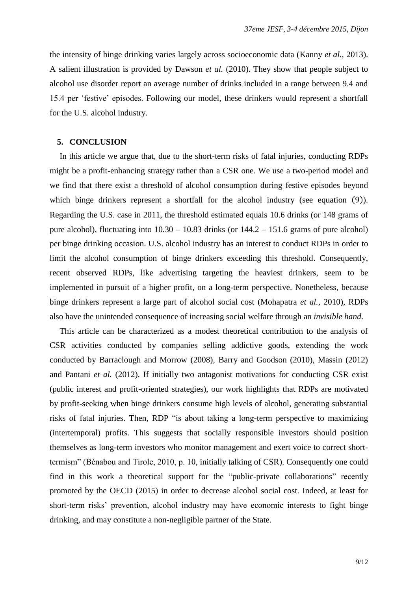the intensity of binge drinking varies largely across socioeconomic data (Kanny *et al.,* 2013). A salient illustration is provided by Dawson *et al.* (2010). They show that people subject to alcohol use disorder report an average number of drinks included in a range between 9.4 and 15.4 per "festive" episodes. Following our model, these drinkers would represent a shortfall for the U.S. alcohol industry.

### **5. CONCLUSION**

In this article we argue that, due to the short-term risks of fatal injuries, conducting RDPs might be a profit-enhancing strategy rather than a CSR one. We use a two-period model and we find that there exist a threshold of alcohol consumption during festive episodes beyond which binge drinkers represent a shortfall for the alcohol industry (see equation  $(9)$ ). Regarding the U.S. case in 2011, the threshold estimated equals 10.6 drinks (or 148 grams of pure alcohol), fluctuating into  $10.30 - 10.83$  drinks (or  $144.2 - 151.6$  grams of pure alcohol) per binge drinking occasion. U.S. alcohol industry has an interest to conduct RDPs in order to limit the alcohol consumption of binge drinkers exceeding this threshold. Consequently, recent observed RDPs, like advertising targeting the heaviest drinkers, seem to be implemented in pursuit of a higher profit, on a long-term perspective. Nonetheless, because binge drinkers represent a large part of alcohol social cost (Mohapatra *et al.,* 2010), RDPs also have the unintended consequence of increasing social welfare through an *invisible hand*.

This article can be characterized as a modest theoretical contribution to the analysis of CSR activities conducted by companies selling addictive goods, extending the work conducted by Barraclough and Morrow (2008), Barry and Goodson (2010), Massin (2012) and Pantani *et al.* (2012). If initially two antagonist motivations for conducting CSR exist (public interest and profit-oriented strategies), our work highlights that RDPs are motivated by profit-seeking when binge drinkers consume high levels of alcohol, generating substantial risks of fatal injuries. Then, RDP "is about taking a long-term perspective to maximizing (intertemporal) profits. This suggests that socially responsible investors should position themselves as long-term investors who monitor management and exert voice to correct shorttermism" (Bénabou and Tirole, 2010, p. 10, initially talking of CSR). Consequently one could find in this work a theoretical support for the "public-private collaborations" recently promoted by the OECD (2015) in order to decrease alcohol social cost. Indeed, at least for short-term risks" prevention, alcohol industry may have economic interests to fight binge drinking, and may constitute a non-negligible partner of the State.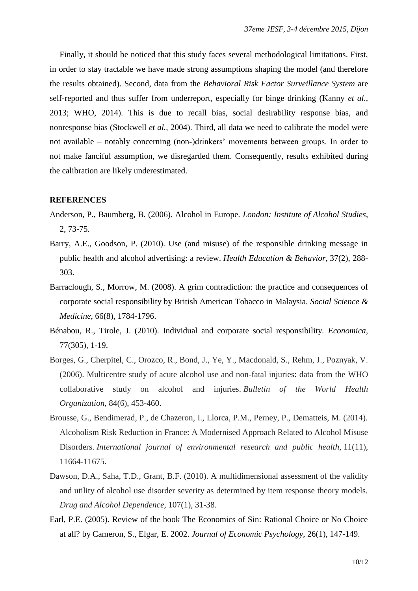Finally, it should be noticed that this study faces several methodological limitations. First, in order to stay tractable we have made strong assumptions shaping the model (and therefore the results obtained). Second, data from the *Behavioral Risk Factor Surveillance System* are self-reported and thus suffer from underreport, especially for binge drinking (Kanny *et al.,* 2013; WHO, 2014). This is due to recall bias, social desirability response bias, and nonresponse bias (Stockwell *et al.,* 2004). Third, all data we need to calibrate the model were not available – notably concerning (non-)drinkers' movements between groups. In order to not make fanciful assumption, we disregarded them. Consequently, results exhibited during the calibration are likely underestimated.

### **REFERENCES**

- Anderson, P., Baumberg, B. (2006). Alcohol in Europe. *London: Institute of Alcohol Studies*, 2, 73-75.
- Barry, A.E., Goodson, P. (2010). Use (and misuse) of the responsible drinking message in public health and alcohol advertising: a review. *Health Education & Behavior*, 37(2), 288- 303.
- Barraclough, S., Morrow, M. (2008). A grim contradiction: the practice and consequences of corporate social responsibility by British American Tobacco in Malaysia. *Social Science & Medicine*, 66(8), 1784-1796.
- Bénabou, R., Tirole, J. (2010). Individual and corporate social responsibility. *Economica,* 77(305), 1-19.
- Borges, G., Cherpitel, C., Orozco, R., Bond, J., Ye, Y., Macdonald, S., Rehm, J., Poznyak, V. (2006). Multicentre study of acute alcohol use and non-fatal injuries: data from the WHO collaborative study on alcohol and injuries. *Bulletin of the World Health Organization*, 84(6), 453-460.
- Brousse, G., Bendimerad, P., de Chazeron, I., Llorca, P.M., Perney, P., Dematteis, M. (2014). Alcoholism Risk Reduction in France: A Modernised Approach Related to Alcohol Misuse Disorders. *International journal of environmental research and public health*, 11(11), 11664-11675.
- Dawson, D.A., Saha, T.D., Grant, B.F. (2010). A multidimensional assessment of the validity and utility of alcohol use disorder severity as determined by item response theory models. *Drug and Alcohol Dependence,* 107(1), 31-38.
- Earl, P.E. (2005). Review of the book The Economics of Sin: Rational Choice or No Choice at all? by Cameron, S., Elgar, E. 2002. *Journal of Economic Psychology*, 26(1), 147-149.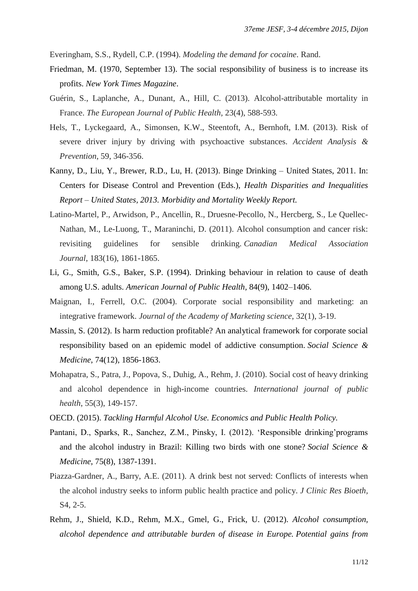Everingham, S.S., Rydell, C.P. (1994). *Modeling the demand for cocaine*. Rand.

- Friedman, M. (1970, September 13). The social responsibility of business is to increase its profits. *New York Times Magazine*.
- Guérin, S., Laplanche, A., Dunant, A., Hill, C. (2013). Alcohol-attributable mortality in France. *The European Journal of Public Health,* 23(4), 588-593.
- Hels, T., Lyckegaard, A., Simonsen, K.W., Steentoft, A., Bernhoft, I.M. (2013). Risk of severe driver injury by driving with psychoactive substances. *Accident Analysis & Prevention*, 59, 346-356.
- Kanny, D., Liu, Y., Brewer, R.D., Lu, H. (2013). Binge Drinking United States, 2011. In: Centers for Disease Control and Prevention (Eds.), *Health Disparities and Inequalities Report – United States, 2013. Morbidity and Mortality Weekly Report.*
- Latino-Martel, P., Arwidson, P., Ancellin, R., Druesne-Pecollo, N., Hercberg, S., Le Quellec-Nathan, M., Le-Luong, T., Maraninchi, D. (2011). Alcohol consumption and cancer risk: revisiting guidelines for sensible drinking. *Canadian Medical Association Journal,* 183(16), 1861-1865.
- Li, G., Smith, G.S., Baker, S.P. (1994). Drinking behaviour in relation to cause of death among U.S. adults. *American Journal of Public Health,* 84(9), 1402–1406.
- Maignan, I., Ferrell, O.C. (2004). Corporate social responsibility and marketing: an integrative framework. *Journal of the Academy of Marketing science*, 32(1), 3-19.
- Massin, S. (2012). Is harm reduction profitable? An analytical framework for corporate social responsibility based on an epidemic model of addictive consumption. *Social Science & Medicine*, 74(12), 1856-1863.
- Mohapatra, S., Patra, J., Popova, S., Duhig, A., Rehm, J. (2010). Social cost of heavy drinking and alcohol dependence in high-income countries. *International journal of public health*, 55(3), 149-157.
- OECD. (2015). *Tackling Harmful Alcohol Use. Economics and Public Health Policy.*
- Pantani, D., Sparks, R., Sanchez, Z.M., Pinsky, I. (2012). "Responsible drinking"programs and the alcohol industry in Brazil: Killing two birds with one stone? *Social Science & Medicine*, 75(8), 1387-1391.
- Piazza-Gardner, A., Barry, A.E. (2011). A drink best not served: Conflicts of interests when the alcohol industry seeks to inform public health practice and policy. *J Clinic Res Bioeth,* S4, 2-5.
- Rehm, J., Shield, K.D., Rehm, M.X., Gmel, G., Frick, U. (2012). *Alcohol consumption, alcohol dependence and attributable burden of disease in Europe. Potential gains from*